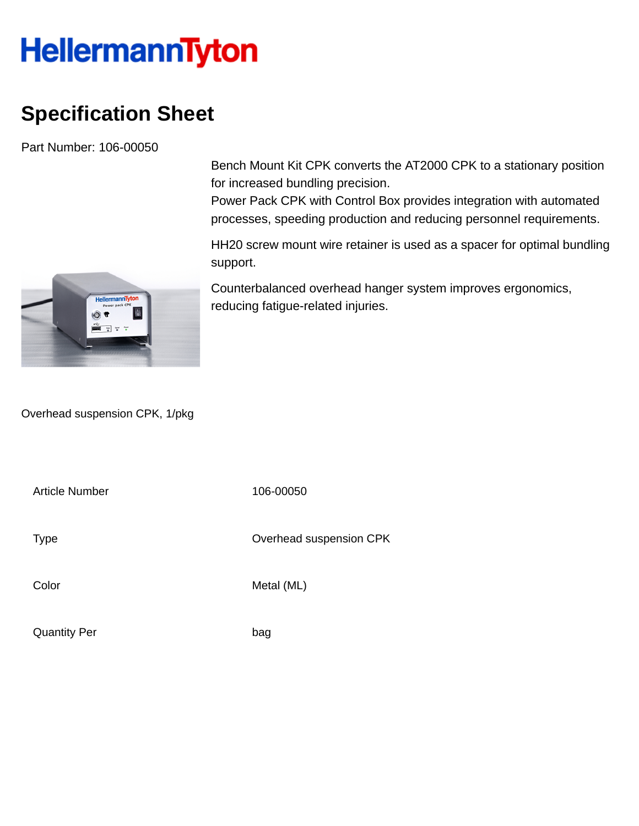## **HellermannTyton**

## **Specification Sheet**

Part Number: 106-00050

Bench Mount Kit CPK converts the AT2000 CPK to a stationary position for increased bundling precision.

Power Pack CPK with Control Box provides integration with automated processes, speeding production and reducing personnel requirements.

HH20 screw mount wire retainer is used as a spacer for optimal bundling support.

Counterbalanced overhead hanger system improves ergonomics, reducing fatigue-related injuries.

Overhead suspension CPK, 1/pkg

Article Number 106-00050

Type **Overhead suspension CPK** 

Color Metal (ML)

Quantity Per bag

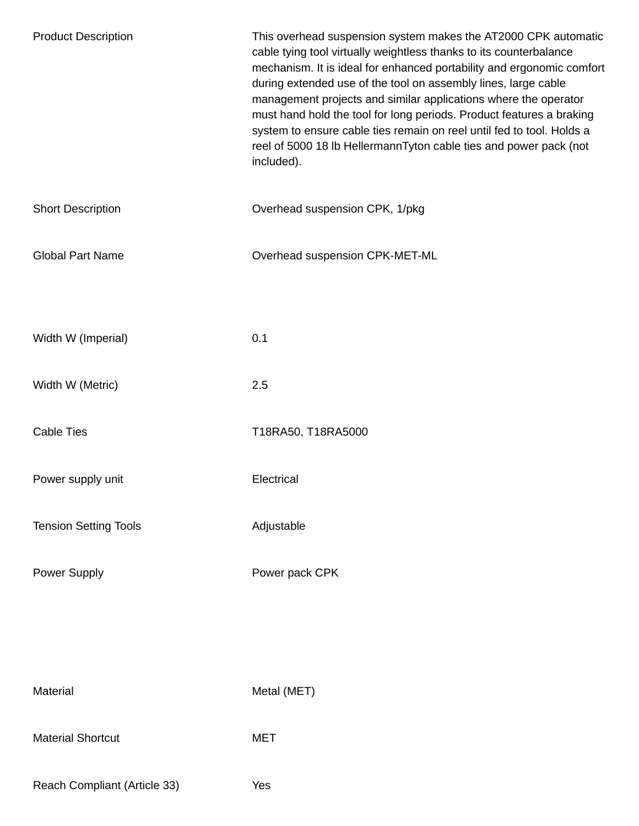| <b>Product Description</b>   | This overhead suspension system makes the AT2000 CPK automatic<br>cable tying tool virtually weightless thanks to its counterbalance<br>mechanism. It is ideal for enhanced portability and ergonomic comfort<br>during extended use of the tool on assembly lines, large cable<br>management projects and similar applications where the operator<br>must hand hold the tool for long periods. Product features a braking<br>system to ensure cable ties remain on reel until fed to tool. Holds a<br>reel of 5000 18 lb HellermannTyton cable ties and power pack (not<br>included). |
|------------------------------|----------------------------------------------------------------------------------------------------------------------------------------------------------------------------------------------------------------------------------------------------------------------------------------------------------------------------------------------------------------------------------------------------------------------------------------------------------------------------------------------------------------------------------------------------------------------------------------|
| <b>Short Description</b>     | Overhead suspension CPK, 1/pkg                                                                                                                                                                                                                                                                                                                                                                                                                                                                                                                                                         |
| <b>Global Part Name</b>      | Overhead suspension CPK-MET-ML                                                                                                                                                                                                                                                                                                                                                                                                                                                                                                                                                         |
|                              |                                                                                                                                                                                                                                                                                                                                                                                                                                                                                                                                                                                        |
| Width W (Imperial)           | 0.1                                                                                                                                                                                                                                                                                                                                                                                                                                                                                                                                                                                    |
| Width W (Metric)             | 2.5                                                                                                                                                                                                                                                                                                                                                                                                                                                                                                                                                                                    |
| <b>Cable Ties</b>            | T18RA50, T18RA5000                                                                                                                                                                                                                                                                                                                                                                                                                                                                                                                                                                     |
| Power supply unit            | Electrical                                                                                                                                                                                                                                                                                                                                                                                                                                                                                                                                                                             |
| <b>Tension Setting Tools</b> | Adjustable                                                                                                                                                                                                                                                                                                                                                                                                                                                                                                                                                                             |
| Power Supply                 | Power pack CPK                                                                                                                                                                                                                                                                                                                                                                                                                                                                                                                                                                         |
|                              |                                                                                                                                                                                                                                                                                                                                                                                                                                                                                                                                                                                        |
|                              |                                                                                                                                                                                                                                                                                                                                                                                                                                                                                                                                                                                        |
| Material                     | Metal (MET)                                                                                                                                                                                                                                                                                                                                                                                                                                                                                                                                                                            |
| <b>Material Shortcut</b>     | <b>MET</b>                                                                                                                                                                                                                                                                                                                                                                                                                                                                                                                                                                             |
| Reach Compliant (Article 33) | Yes                                                                                                                                                                                                                                                                                                                                                                                                                                                                                                                                                                                    |